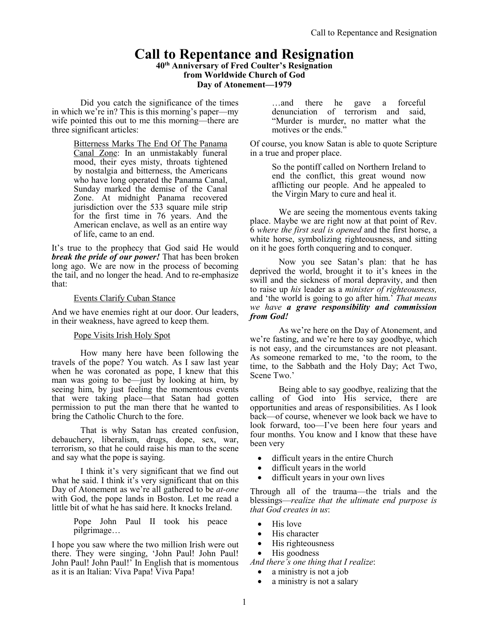# **Call to Repentance and Resignation**

**40th Anniversary of Fred Coulter's Resignation from Worldwide Church of God Day of Atonement—1979**

Did you catch the significance of the times in which we're in? This is this morning's paper—my wife pointed this out to me this morning—there are three significant articles:

> Bitterness Marks The End Of The Panama Canal Zone: In an unmistakably funeral mood, their eyes misty, throats tightened by nostalgia and bitterness, the Americans who have long operated the Panama Canal, Sunday marked the demise of the Canal Zone. At midnight Panama recovered jurisdiction over the 533 square mile strip for the first time in 76 years. And the American enclave, as well as an entire way of life, came to an end.

It's true to the prophecy that God said He would *break the pride of our power!* That has been broken long ago. We are now in the process of becoming the tail, and no longer the head. And to re-emphasize that:

#### Events Clarify Cuban Stance

And we have enemies right at our door. Our leaders, in their weakness, have agreed to keep them.

## Pope Visits Irish Holy Spot

How many here have been following the travels of the pope? You watch. As I saw last year when he was coronated as pope, I knew that this man was going to be—just by looking at him, by seeing him, by just feeling the momentous events that were taking place—that Satan had gotten permission to put the man there that he wanted to bring the Catholic Church to the fore.

That is why Satan has created confusion, debauchery, liberalism, drugs, dope, sex, war, terrorism, so that he could raise his man to the scene and say what the pope is saying.

I think it's very significant that we find out what he said. I think it's very significant that on this Day of Atonement as we're all gathered to be *at-one* with God, the pope lands in Boston. Let me read a little bit of what he has said here. It knocks Ireland.

> Pope John Paul II took his peace pilgrimage…

I hope you saw where the two million Irish were out there. They were singing, 'John Paul! John Paul! John Paul! John Paul!' In English that is momentous as it is an Italian: Viva Papa! Viva Papa!

…and there he gave a forceful denunciation of terrorism and said, "Murder is murder, no matter what the motives or the ends."

Of course, you know Satan is able to quote Scripture in a true and proper place.

> So the pontiff called on Northern Ireland to end the conflict, this great wound now afflicting our people. And he appealed to the Virgin Mary to cure and heal it.

We are seeing the momentous events taking place. Maybe we are right now at that point of Rev. 6 *where the first seal is opened* and the first horse, a white horse, symbolizing righteousness, and sitting on it he goes forth conquering and to conquer.

Now you see Satan's plan: that he has deprived the world, brought it to it's knees in the swill and the sickness of moral depravity, and then to raise up *his* leader as a *minister of righteousness,* and 'the world is going to go after him.' *That means we have a grave responsibility and commission from God!*

As we're here on the Day of Atonement, and we're fasting, and we're here to say goodbye, which is not easy, and the circumstances are not pleasant. As someone remarked to me, 'to the room, to the time, to the Sabbath and the Holy Day; Act Two, Scene Two.'

Being able to say goodbye, realizing that the calling of God into His service, there are opportunities and areas of responsibilities. As I look back—of course, whenever we look back we have to look forward, too—I've been here four years and four months. You know and I know that these have been very

- difficult years in the entire Church
- difficult years in the world
- difficult years in your own lives

Through all of the trauma—the trials and the blessings—*realize that the ultimate end purpose is that God creates in us*:

- His love
- His character
- His righteousness
- His goodness
- *And there's one thing that I realize*:
	- a ministry is not a job
	- a ministry is not a salary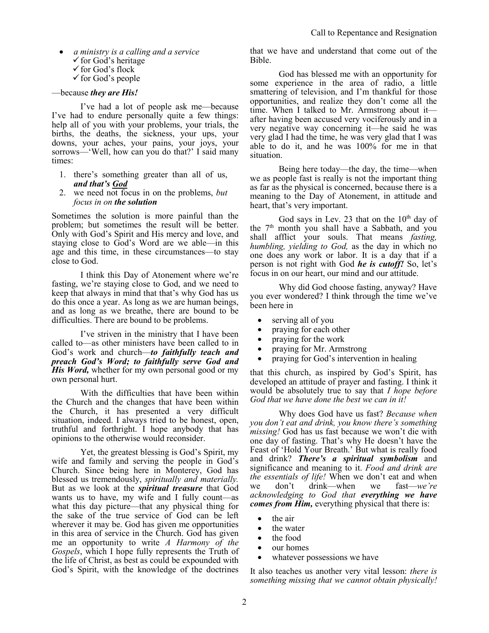- *a ministry is a calling and a service* 
	- $\checkmark$  for God's heritage
	- for God's flock
	- $\checkmark$  for God's people

#### —because *they are His!*

I've had a lot of people ask me—because I've had to endure personally quite a few things: help all of you with your problems, your trials, the births, the deaths, the sickness, your ups, your downs, your aches, your pains, your joys, your sorrows—'Well, how can you do that?' I said many times:

- 1. there's something greater than all of us, *and that's God*
- 2. we need not focus in on the problems, *but focus in on the solution*

Sometimes the solution is more painful than the problem; but sometimes the result will be better. Only with God's Spirit and His mercy and love, and staying close to God's Word are we able—in this age and this time, in these circumstances—to stay close to God.

I think this Day of Atonement where we're fasting, we're staying close to God, and we need to keep that always in mind that that's why God has us do this once a year. As long as we are human beings, and as long as we breathe, there are bound to be difficulties. There are bound to be problems.

I've striven in the ministry that I have been called to—as other ministers have been called to in God's work and church—*to faithfully teach and preach God's Word; to faithfully serve God and His Word*, whether for my own personal good or my own personal hurt.

With the difficulties that have been within the Church and the changes that have been within the Church, it has presented a very difficult situation, indeed. I always tried to be honest, open, truthful and forthright. I hope anybody that has opinions to the otherwise would reconsider.

Yet, the greatest blessing is God's Spirit, my wife and family and serving the people in God's Church. Since being here in Monterey, God has blessed us tremendously, *spiritually and materially.* But as we look at the *spiritual treasure* that God wants us to have, my wife and I fully count—as what this day picture—that any physical thing for the sake of the true service of God can be left wherever it may be. God has given me opportunities in this area of service in the Church. God has given me an opportunity to write *A Harmony of the Gospels*, which I hope fully represents the Truth of the life of Christ, as best as could be expounded with God's Spirit, with the knowledge of the doctrines that we have and understand that come out of the Bible.

God has blessed me with an opportunity for some experience in the area of radio, a little smattering of television, and I'm thankful for those opportunities, and realize they don't come all the time. When I talked to Mr. Armstrong about it after having been accused very vociferously and in a very negative way concerning it—he said he was very glad I had the time, he was very glad that I was able to do it, and he was 100% for me in that situation.

Being here today—the day, the time—when we as people fast is really is not the important thing as far as the physical is concerned, because there is a meaning to the Day of Atonement, in attitude and heart, that's very important.

God says in Lev. 23 that on the  $10^{th}$  day of the 7<sup>th</sup> month you shall have a Sabbath, and you shall afflict your souls. That means *fasting, humbling, yielding to God,* as the day in which no one does any work or labor. It is a day that if a person is not right with God *he is cutoff!* So, let's focus in on our heart, our mind and our attitude.

Why did God choose fasting, anyway? Have you ever wondered? I think through the time we've been here in

- serving all of you
- praying for each other
- praying for the work
- praying for Mr. Armstrong
- praying for God's intervention in healing

that this church, as inspired by God's Spirit, has developed an attitude of prayer and fasting. I think it would be absolutely true to say that *I hope before God that we have done the best we can in it!*

Why does God have us fast? *Because when you don't eat and drink, you know there's something missing!* God has us fast because we won't die with one day of fasting. That's why He doesn't have the Feast of 'Hold Your Breath.' But what is really food and drink? *There's a spiritual symbolism* and significance and meaning to it. *Food and drink are the essentials of life!* When we don't eat and when we don't drink—when we fast—*we're acknowledging to God that everything we have comes from Him,* everything physical that there is:

- the air
- the water
- the food
- our homes
- whatever possessions we have

It also teaches us another very vital lesson: *there is something missing that we cannot obtain physically!*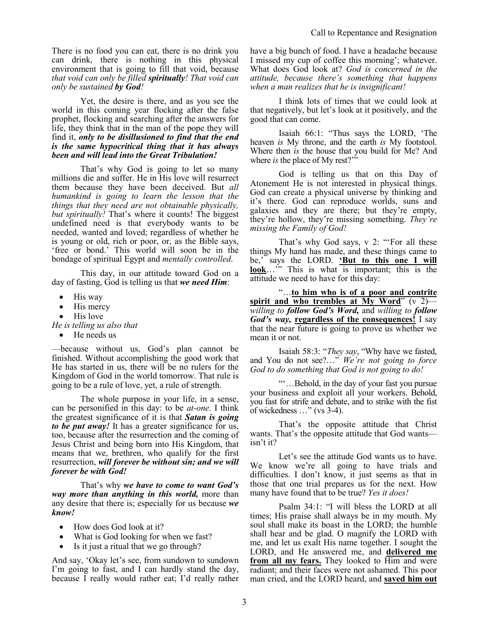There is no food you can eat, there is no drink you can drink, there is nothing in this physical environment that is going to fill that void, because *that void can only be filled spiritually! That void can only be sustained by God!* 

Yet, the desire is there, and as you see the world in this coming year flocking after the false prophet, flocking and searching after the answers for life, they think that in the man of the pope they will find it, *only to be disillusioned to find that the end is the same hypocritical thing that it has always been and will lead into the Great Tribulation!*

That's why God is going to let so many millions die and suffer. He in His love will resurrect them because they have been deceived. But *all humankind is going to learn the lesson that the things that they need are not obtainable physically, but spiritually!* That's where it counts! The biggest undefined need is that everybody wants to be needed, wanted and loved; regardless of whether he is young or old, rich or poor, or, as the Bible says, 'free or bond.' This world will soon be in the bondage of spiritual Egypt and *mentally controlled*.

This day, in our attitude toward God on a day of fasting, God is telling us that *we need Him*:

- His way
- His mercy
- His love

*He is telling us also that* 

He needs us

—because without us, God's plan cannot be finished. Without accomplishing the good work that He has started in us, there will be no rulers for the Kingdom of God in the world tomorrow. That rule is going to be a rule of love, yet, a rule of strength.

The whole purpose in your life, in a sense, can be personified in this day: to be *at-one*. I think the greatest significance of it is that *Satan is going to be put away!* It has a greater significance for us, too, because after the resurrection and the coming of Jesus Christ and being born into His Kingdom, that means that we, brethren, who qualify for the first resurrection, *will forever be without sin; and we will forever be with God!*

That's why *we have to come to want God's way more than anything in this world,* more than any desire that there is; especially for us because *we know!*

- How does God look at it?
- What is God looking for when we fast?
- Is it just a ritual that we go through?

And say, 'Okay let's see, from sundown to sundown I'm going to fast, and I can hardly stand the day, because I really would rather eat; I'd really rather have a big bunch of food. I have a headache because I missed my cup of coffee this morning'; whatever. What does God look at? *God is concerned in the attitude, because there's something that happens when a man realizes that he is insignificant!*

I think lots of times that we could look at that negatively, but let's look at it positively, and the good that can come.

Isaiah 66:1: "Thus says the LORD, 'The heaven *is* My throne, and the earth *is* My footstool. Where then *is* the house that you build for Me? And where *is* the place of My rest?""

God is telling us that on this Day of Atonement He is not interested in physical things. God can create a physical universe by thinking and it's there. God can reproduce worlds, suns and galaxies and they are there; but they're empty, they're hollow, they're missing something. *They're missing the Family of God!*

That's why God says, v 2: "'For all these things My hand has made, and these things came to be,' says the LORD. **'But to this one I will look**…<sup>"</sup> This is what is important; this is the attitude we need to have for this day:

"…**to him who is of a poor and contrite spirit and who trembles at My Word**" (v 2) *willing to follow God's Word,* and *willing to follow God's way,* **regardless of the consequences!** I say that the near future is going to prove us whether we mean it or not.

Isaiah 58:3: "*They say*, "Why have we fasted, and You do not see?…" *We're not going to force God to do something that God is not going to do!*

"'…Behold, in the day of your fast you pursue your business and exploit all your workers. Behold, you fast for strife and debate, and to strike with the fist of wickedness …" (vs 3-4).

That's the opposite attitude that Christ wants. That's the opposite attitude that God wants isn't it?

Let's see the attitude God wants us to have. We know we're all going to have trials and difficulties. I don't know, it just seems as that in those that one trial prepares us for the next. How many have found that to be true? *Yes it does!*

Psalm 34:1: "I will bless the LORD at all times; His praise shall always be in my mouth. My soul shall make its boast in the LORD; the humble shall hear and be glad. O magnify the LORD with me, and let us exalt His name together. I sought the LORD, and He answered me, and **delivered me from all my fears.** They looked to Him and were radiant; and their faces were not ashamed. This poor man cried, and the LORD heard, and **saved him out**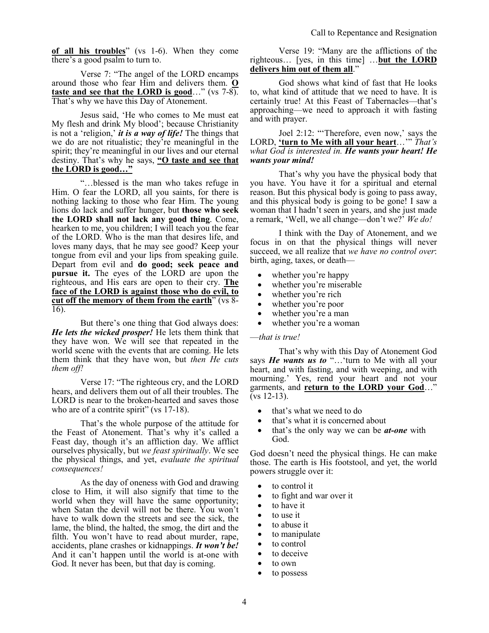**of all his troubles**" (vs 1-6). When they come there's a good psalm to turn to.

Verse 7: "The angel of the LORD encamps around those who fear Him and delivers them. **O taste and see that the LORD is good**…" (vs 7-8). That's why we have this Day of Atonement.

Jesus said, 'He who comes to Me must eat My flesh and drink My blood'; because Christianity is not a 'religion,' *it is a way of life!* The things that we do are not ritualistic; they're meaningful in the spirit; they're meaningful in our lives and our eternal destiny. That's why he says, **"O taste and see that the LORD is good…"**

"…blessed is the man who takes refuge in Him. O fear the LORD, all you saints, for there is nothing lacking to those who fear Him. The young lions do lack and suffer hunger, but **those who seek the LORD shall not lack any good thing**. Come, hearken to me, you children; I will teach you the fear of the LORD. Who is the man that desires life, and loves many days, that he may see good? Keep your tongue from evil and your lips from speaking guile. Depart from evil and **do good; seek peace and pursue it.** The eyes of the LORD are upon the righteous, and His ears are open to their cry. **The face of the LORD is against those who do evil, to cut off the memory of them from the earth**" (vs 8- 16).

But there's one thing that God always does: *He lets the wicked prosper!* He lets them think that they have won. We will see that repeated in the world scene with the events that are coming. He lets them think that they have won, but *then He cuts them off!*

Verse 17: "The righteous cry, and the LORD hears, and delivers them out of all their troubles. The LORD is near to the broken-hearted and saves those who are of a contrite spirit" (vs 17-18).

That's the whole purpose of the attitude for the Feast of Atonement. That's why it's called a Feast day, though it's an affliction day. We afflict ourselves physically, but *we feast spiritually*. We see the physical things, and yet, *evaluate the spiritual consequences!*

As the day of oneness with God and drawing close to Him, it will also signify that time to the world when they will have the same opportunity; when Satan the devil will not be there. You won't have to walk down the streets and see the sick, the lame, the blind, the halted, the smog, the dirt and the filth. You won't have to read about murder, rape, accidents, plane crashes or kidnappings. *It won't be!* And it can't happen until the world is at-one with God. It never has been, but that day is coming.

Verse 19: "Many are the afflictions of the righteous… [yes, in this time] …**but the LORD delivers him out of them all**."

God shows what kind of fast that He looks to, what kind of attitude that we need to have. It is certainly true! At this Feast of Tabernacles—that's approaching—we need to approach it with fasting and with prayer.

Joel 2:12: "'Therefore, even now,' says the LORD, **'turn to Me with all your heart**…'" *That's what God is interested in. He wants your heart! He wants your mind!* 

That's why you have the physical body that you have. You have it for a spiritual and eternal reason. But this physical body is going to pass away, and this physical body is going to be gone! I saw a woman that I hadn't seen in years, and she just made a remark, 'Well, we all change—don't we?' *We do!*

I think with the Day of Atonement, and we focus in on that the physical things will never succeed, we all realize that *we have no control over*: birth, aging, taxes, or death—

- whether you're happy
- whether you're miserable
- whether you're rich
- whether you're poor
- whether you're a man
- whether you're a woman

#### —*that is true!*

That's why with this Day of Atonement God says *He wants us to* "…'turn to Me with all your heart, and with fasting, and with weeping, and with mourning.' Yes, rend your heart and not your garments, and **return to the LORD your God**…" (vs 12-13).

- that's what we need to do
- that's what it is concerned about
- that's the only way we can be *at-one* with God.

God doesn't need the physical things. He can make those. The earth is His footstool, and yet, the world powers struggle over it:

- to control it
- to fight and war over it
- to have it
- to use it
- to abuse it
- to manipulate
- to control
	- to deceive
- to own
- to possess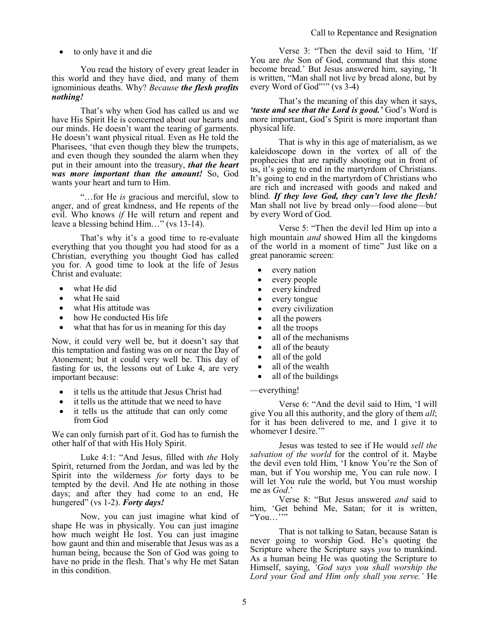to only have it and die

You read the history of every great leader in this world and they have died, and many of them ignominious deaths. Why? *Because the flesh profits nothing!*

That's why when God has called us and we have His Spirit He is concerned about our hearts and our minds. He doesn't want the tearing of garments. He doesn't want physical ritual. Even as He told the Pharisees, 'that even though they blew the trumpets, and even though they sounded the alarm when they put in their amount into the treasury, *that the heart was more important than the amount!* So, God wants your heart and turn to Him.

"…for He *is* gracious and merciful, slow to anger, and of great kindness, and He repents of the evil. Who knows *if* He will return and repent and leave a blessing behind Him…" (vs 13-14).

That's why it's a good time to re-evaluate everything that you thought you had stood for as a Christian, everything you thought God has called you for. A good time to look at the life of Jesus Christ and evaluate:

- what He did
- what He said
- what His attitude was
- how He conducted His life
- what that has for us in meaning for this day

Now, it could very well be, but it doesn't say that this temptation and fasting was on or near the Day of Atonement; but it could very well be. This day of fasting for us, the lessons out of Luke 4, are very important because:

- it tells us the attitude that Jesus Christ had
- it tells us the attitude that we need to have
- it tells us the attitude that can only come from God

We can only furnish part of it. God has to furnish the other half of that with His Holy Spirit.

Luke 4:1: "And Jesus, filled with *the* Holy Spirit, returned from the Jordan, and was led by the Spirit into the wilderness *for* forty days to be tempted by the devil. And He ate nothing in those days; and after they had come to an end, He hungered" (vs 1-2). *Forty days!*

Now, you can just imagine what kind of shape He was in physically. You can just imagine how much weight He lost. You can just imagine how gaunt and thin and miserable that Jesus was as a human being, because the Son of God was going to have no pride in the flesh. That's why He met Satan in this condition.

Verse 3: "Then the devil said to Him, 'If You are *the* Son of God, command that this stone become bread.' But Jesus answered him, saying, 'It is written, "Man shall not live by bread alone, but by every Word of God"'" (vs 3-4)

That's the meaning of this day when it says, *'taste and see that the Lord is good.'* God's Word is more important, God's Spirit is more important than physical life.

That is why in this age of materialism, as we kaleidoscope down in the vortex of all of the prophecies that are rapidly shooting out in front of us, it's going to end in the martyrdom of Christians. It's going to end in the martyrdom of Christians who are rich and increased with goods and naked and blind. *If they love God, they can't love the flesh!* Man shall not live by bread only—food alone—but by every Word of God.

Verse 5: "Then the devil led Him up into a high mountain *and* showed Him all the kingdoms of the world in a moment of time" Just like on a great panoramic screen:

- every nation
- every people
- every kindred
- every tongue
- every civilization
- all the powers
- all the troops
- all of the mechanisms
- all of the beauty
- all of the gold
- all of the wealth
- all of the buildings

#### —everything!

Verse 6: "And the devil said to Him, 'I will give You all this authority, and the glory of them *all*; for it has been delivered to me, and I give it to whomever I desire.""

Jesus was tested to see if He would *sell the salvation of the world* for the control of it. Maybe the devil even told Him, 'I know You're the Son of man, but if You worship me, You can rule now. I will let You rule the world, but You must worship me as *God*.'

Verse 8: "But Jesus answered *and* said to him, 'Get behind Me, Satan; for it is written, " $You...$ ""

That is not talking to Satan, because Satan is never going to worship God. He's quoting the Scripture where the Scripture says *you* to mankind. As a human being He was quoting the Scripture to Himself, saying, *'God says you shall worship the Lord your God and Him only shall you serve.'* He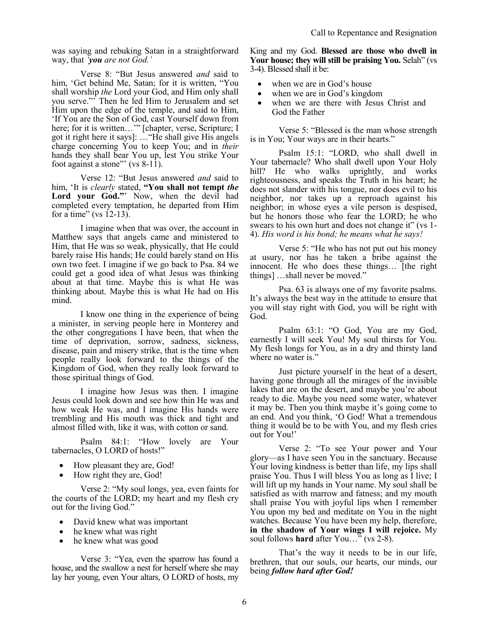was saying and rebuking Satan in a straightforward way, that *'you are not God.'*

Verse 8: "But Jesus answered *and* said to him, 'Get behind Me, Satan; for it is written, "You shall worship *the* Lord your God, and Him only shall you serve."' Then he led Him to Jerusalem and set Him upon the edge of the temple, and said to Him, 'If You are the Son of God, cast Yourself down from here; for it is written..." [chapter, verse, Scripture; I got it right here it says]: …"He shall give His angels charge concerning You to keep You; and in *their* hands they shall bear You up, lest You strike Your foot against a stone"' (vs  $8-11$ ).

Verse 12: "But Jesus answered *and* said to him, 'It is *clearly* stated, **"You shall not tempt** *the* Lord your God."<sup>'</sup> Now, when the devil had completed every temptation, he departed from Him for a time" (vs  $12-13$ ).

I imagine when that was over, the account in Matthew says that angels came and ministered to Him, that He was so weak, physically, that He could barely raise His hands; He could barely stand on His own two feet. I imagine if we go back to Psa. 84 we could get a good idea of what Jesus was thinking about at that time. Maybe this is what He was thinking about. Maybe this is what He had on His mind.

I know one thing in the experience of being a minister, in serving people here in Monterey and the other congregations I have been, that when the time of deprivation, sorrow, sadness, sickness, disease, pain and misery strike, that is the time when people really look forward to the things of the Kingdom of God, when they really look forward to those spiritual things of God.

I imagine how Jesus was then. I imagine Jesus could look down and see how thin He was and how weak He was, and I imagine His hands were trembling and His mouth was thick and tight and almost filled with, like it was, with cotton or sand.

Psalm 84:1: "How lovely are Your tabernacles, O LORD of hosts!"

- How pleasant they are, God!
- How right they are, God!

Verse 2: "My soul longs, yea, even faints for the courts of the LORD; my heart and my flesh cry out for the living God."

- David knew what was important
- he knew what was right
- he knew what was good

Verse 3: "Yea, even the sparrow has found a house, and the swallow a nest for herself where she may lay her young, even Your altars, O LORD of hosts, my King and my God. **Blessed are those who dwell in Your house; they will still be praising You.** Selah" (vs 3-4). Blessed shall it be:

- when we are in God's house
- when we are in God's kingdom
- when we are there with Jesus Christ and God the Father

Verse 5: "Blessed is the man whose strength is in You; Your ways are in their hearts."

Psalm 15:1: "LORD, who shall dwell in Your tabernacle? Who shall dwell upon Your Holy hill? He who walks uprightly, and works righteousness, and speaks the Truth in his heart; he does not slander with his tongue, nor does evil to his neighbor, nor takes up a reproach against his neighbor; in whose eyes a vile person is despised, but he honors those who fear the LORD; he who swears to his own hurt and does not change it" (vs 1- 4). *His word is his bond; he means what he says!*

Verse 5: "He who has not put out his money at usury, nor has he taken a bribe against the innocent. He who does these things… [the right things] …shall never be moved."

Psa. 63 is always one of my favorite psalms. It's always the best way in the attitude to ensure that you will stay right with God, you will be right with God.

Psalm 63:1: "O God, You are my God, earnestly I will seek You! My soul thirsts for You. My flesh longs for You, as in a dry and thirsty land where no water is."

Just picture yourself in the heat of a desert, having gone through all the mirages of the invisible lakes that are on the desert, and maybe you're about ready to die. Maybe you need some water, whatever it may be. Then you think maybe it's going come to an end. And you think, 'O God! What a tremendous thing it would be to be with You, and my flesh cries out for You!'

Verse 2: "To see Your power and Your glory—as I have seen You in the sanctuary. Because Your loving kindness is better than life, my lips shall praise You. Thus I will bless You as long as I live; I will lift up my hands in Your name. My soul shall be satisfied as with marrow and fatness; and my mouth shall praise You with joyful lips when I remember You upon my bed and meditate on You in the night watches. Because You have been my help, therefore, **in the shadow of Your wings I will rejoice.** My soul follows **hard** after You…" (vs 2-8).

That's the way it needs to be in our life, brethren, that our souls, our hearts, our minds, our being *follow hard after God!*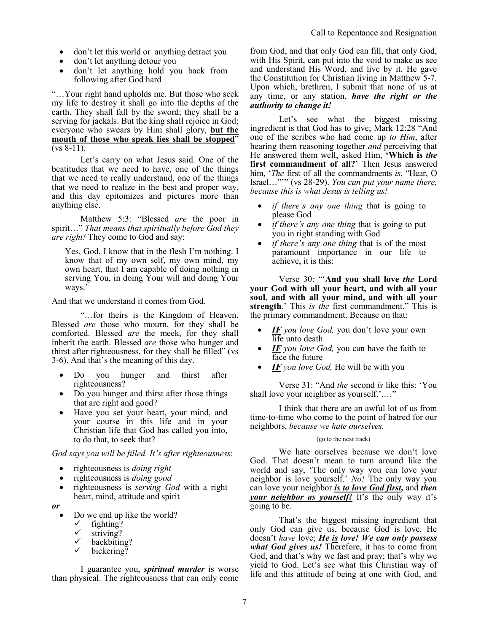- don't let this world or anything detract you
- don't let anything detour you
- don't let anything hold you back from following after God hard

"…Your right hand upholds me. But those who seek my life to destroy it shall go into the depths of the earth. They shall fall by the sword; they shall be a serving for jackals. But the king shall rejoice in God; everyone who swears by Him shall glory, **but the mouth of those who speak lies shall be stopped**"  $(vs 8-11)$ .

Let's carry on what Jesus said. One of the beatitudes that we need to have, one of the things that we need to really understand, one of the things that we need to realize in the best and proper way, and this day epitomizes and pictures more than anything else.

Matthew 5:3: "Blessed *are* the poor in spirit…" *That means that spiritually before God they are right!* They come to God and say:

Yes, God, I know that in the flesh I'm nothing. I know that of my own self, my own mind, my own heart, that I am capable of doing nothing in serving You, in doing Your will and doing Your ways.'

And that we understand it comes from God.

"…for theirs is the Kingdom of Heaven. Blessed *are* those who mourn, for they shall be comforted. Blessed *are* the meek, for they shall inherit the earth. Blessed *are* those who hunger and thirst after righteousness, for they shall be filled" (vs 3-6). And that's the meaning of this day.

- Do you hunger and thirst after righteousness?
- Do you hunger and thirst after those things that are right and good?
- Have you set your heart, your mind, and your course in this life and in your Christian life that God has called you into, to do that, to seek that?

*God says you will be filled. It's after righteousness*:

- righteousness is *doing right*
- righteousness is *doing good*
- righteousness is *serving God* with a right heart, mind, attitude and spirit

*or*

- Do we end up like the world?
	- $\checkmark$  fighting?
	- striving?
	- $\checkmark$  backbiting?<br> $\checkmark$  bickering?
	- bickering?

I guarantee you, *spiritual murder* is worse than physical. The righteousness that can only come

from God, and that only God can fill, that only God, with His Spirit, can put into the void to make us see and understand His Word, and live by it. He gave the Constitution for Christian living in Matthew 5-7. Upon which, brethren, I submit that none of us at any time, or any station, *have the right or the authority to change it!*

Let's see what the biggest missing ingredient is that God has to give; Mark 12:28 "And one of the scribes who had come up *to Him*, after hearing them reasoning together *and* perceiving that He answered them well, asked Him, **'Which is** *the* **first commandment of all?'** Then Jesus answered him, '*The* first of all the commandments *is*, "Hear, O Israel…"'" (vs 28-29). *You can put your name there, because this is what Jesus is telling us!* 

- *if there's any one thing* that is going to please God
- *if there's any one thing that is going to put* you in right standing with God
- *if there's any one thing that is of the most* paramount importance in our life to achieve, it is this:

Verse 30: "'**And you shall love** *the* **Lord your God with all your heart, and with all your soul, and with all your mind, and with all your strength**.' This *is the* first commandment." This is the primary commandment. Because on that:

- *IF you love God,* you don't love your own life unto death
- *IF* you love God, you can have the faith to face the future
- *IF you love God,* He will be with you

Verse 31: "And *the* second *is* like this: 'You shall love your neighbor as yourself.'.…"

I think that there are an awful lot of us from time-to-time who come to the point of hatred for our neighbors, *because we hate ourselves.*

#### (go to the next track)

We hate ourselves because we don't love God. That doesn't mean to turn around like the world and say, 'The only way you can love your neighbor is love yourself.' *No!* The only way you can love your neighbor *is to love God first,* and *then your neighbor as yourself!* It's the only way it's going to be.

That's the biggest missing ingredient that only God can give us, because God is love. He doesn't *have* love; *He is love! We can only possess what God gives us!* Therefore, it has to come from God, and that's why we fast and pray; that's why we yield to God. Let's see what this Christian way of life and this attitude of being at one with God, and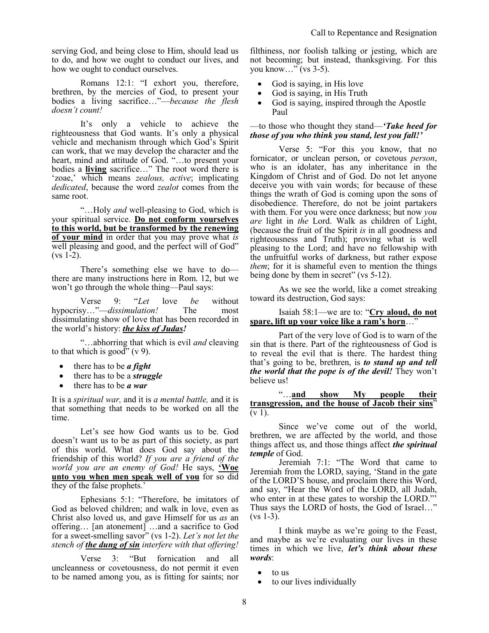serving God, and being close to Him, should lead us to do, and how we ought to conduct our lives, and how we ought to conduct ourselves.

Romans 12:1: "I exhort you, therefore, brethren, by the mercies of God, to present your bodies a living sacrifice…"—*because the flesh doesn't count!*

It's only a vehicle to achieve the righteousness that God wants. It's only a physical vehicle and mechanism through which God's Spirit can work, that we may develop the character and the heart, mind and attitude of God. "…to present your bodies a **living** sacrifice…" The root word there is 'zoae,' which means *zealous, active*; implicating *dedicated*, because the word *zealot* comes from the same root.

"…Holy *and* well-pleasing to God, which is your spiritual service. **Do not conform yourselves to this world, but be transformed by the renewing of your mind** in order that you may prove what *is* well pleasing and good, and the perfect will of God"  $(vs 1-2)$ .

There's something else we have to do there are many instructions here in Rom. 12, but we won't go through the whole thing—Paul says:

Verse 9: "*Let* love *be* without hypocrisy…"—*dissimulation!* The most dissimulating show of love that has been recorded in the world's history: *the kiss of Judas!*

"…abhorring that which is evil *and* cleaving to that which is good"  $(v 9)$ .

- there has to be *a fight*
- there has to be a *struggle*
- there has to be *a war*

It is a *spiritual war,* and it is *a mental battle,* and it is that something that needs to be worked on all the time.

Let's see how God wants us to be. God doesn't want us to be as part of this society, as part of this world. What does God say about the friendship of this world? *If you are a friend of the world you are an enemy of God!* He says, **'Woe unto you when men speak well of you** for so did they of the false prophets.'

Ephesians 5:1: "Therefore, be imitators of God as beloved children; and walk in love, even as Christ also loved us, and gave Himself for us *as* an offering… [an atonement] …and a sacrifice to God for a sweet-smelling savor" (vs 1-2). *Let's not let the stench of the dung of sin interfere with that offering!*

Verse 3: "But fornication and all uncleanness or covetousness, do not permit it even to be named among you, as is fitting for saints; nor filthiness, nor foolish talking or jesting, which are not becoming; but instead, thanksgiving. For this you know…" (vs 3-5).

- God is saying, in His love
- God is saying, in His Truth
- God is saying, inspired through the Apostle Paul

—to those who thought they stand—*'Take heed for those of you who think you stand, lest you fall!'* 

Verse 5: "For this you know, that no fornicator, or unclean person, or covetous *person*, who is an idolater, has any inheritance in the Kingdom of Christ and of God. Do not let anyone deceive you with vain words; for because of these things the wrath of God is coming upon the sons of disobedience. Therefore, do not be joint partakers with them. For you were once darkness; but now *you are* light in *the* Lord. Walk as children of Light, (because the fruit of the Spirit *is* in all goodness and righteousness and Truth); proving what is well pleasing to the Lord; and have no fellowship with the unfruitful works of darkness, but rather expose *them*; for it is shameful even to mention the things being done by them in secret" (vs 5-12).

As we see the world, like a comet streaking toward its destruction, God says:

## Isaiah 58:1—we are to: "**Cry aloud, do not spare, lift up your voice like a ram's horn**…"

Part of the very love of God is to warn of the sin that is there. Part of the righteousness of God is to reveal the evil that is there. The hardest thing that's going to be, brethren, is *to stand up and tell the world that the pope is of the devil!* They won't believe us!

"…**and show My people their transgression, and the house of Jacob their sins**"  $(v 1)$ .

Since we've come out of the world, brethren, we are affected by the world, and those things affect us, and those things affect *the spiritual temple* of God.

Jeremiah 7:1: "The Word that came to Jeremiah from the LORD, saying, 'Stand in the gate of the LORD'S house, and proclaim there this Word, and say, "Hear the Word of the LORD, all Judah, who enter in at these gates to worship the LORD." Thus says the LORD of hosts, the God of Israel…"  $(vs 1-3)$ .

I think maybe as we're going to the Feast, and maybe as we're evaluating our lives in these times in which we live, *let's think about these words*:

- to us
- to our lives individually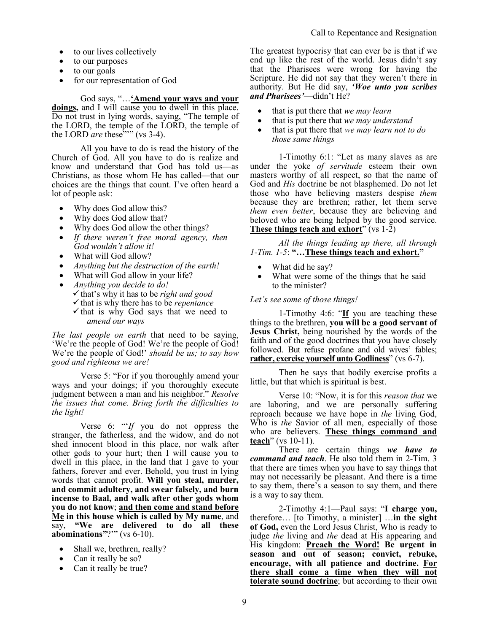- to our lives collectively
- to our purposes
- to our goals
- for our representation of God

# God says, "…**'Amend your ways and your**

**doings,** and I will cause you to dwell in this place. Do not trust in lying words, saying, "The temple of the LORD, the temple of the LORD, the temple of the LORD *are* these<sup>"'"</sup> (vs 3-4).

All you have to do is read the history of the Church of God. All you have to do is realize and know and understand that God has told us—as Christians, as those whom He has called—that our choices are the things that count. I've often heard a lot of people ask:

- Why does God allow this?
- Why does God allow that?
- Why does God allow the other things?
- *If there weren't free moral agency, then God wouldn't allow it!*
- What will God allow?
- *Anything but the destruction of the earth!*
- What will God allow in your life?
- *Anything you decide to do!* that's why it has to be *right and good*  $\checkmark$  that is why there has to be *repentance* 
	- $\checkmark$  that is why God says that we need to *amend our ways*

*The last people on earth* that need to be saying, 'We're the people of God! We're the people of God! We're the people of God!' *should be us; to say how good and righteous we are!*

Verse 5: "For if you thoroughly amend your ways and your doings; if you thoroughly execute judgment between a man and his neighbor." *Resolve the issues that come. Bring forth the difficulties to the light!* 

Verse 6: "'*If* you do not oppress the stranger, the fatherless, and the widow, and do not shed innocent blood in this place, nor walk after other gods to your hurt; then I will cause you to dwell in this place, in the land that I gave to your fathers, forever and ever. Behold, you trust in lying words that cannot profit. **Will you steal, murder, and commit adultery, and swear falsely, and burn incense to Baal, and walk after other gods whom you do not know**; **and then come and stand before Me in this house which is called by My name**, and say, **"We are delivered to do all these abominations"**?'" (vs 6-10).

- Shall we, brethren, really?
- Can it really be so?
- Can it really be true?

The greatest hypocrisy that can ever be is that if we end up like the rest of the world. Jesus didn't say that the Pharisees were wrong for having the Scripture. He did not say that they weren't there in authority. But He did say, *'Woe unto you scribes and Pharisees'*—didn't He?

- that is put there that *we may learn*
- that is put there that *we may understand*
- that is put there that *we may learn not to do those same things*

1-Timothy 6:1: "Let as many slaves as are under the yoke *of servitude* esteem their own masters worthy of all respect, so that the name of God and *His* doctrine be not blasphemed. Do not let those who have believing masters despise *them* because they are brethren; rather, let them serve *them even better*, because they are believing and beloved who are being helped by the good service. **These things teach and exhort**" (vs 1-2)

*All the things leading up there, all through 1-Tim. 1-5*: **"…These things teach and exhort."**

- What did he say?
- What were some of the things that he said to the minister?

# *Let's see some of those things!*

1-Timothy 4:6: "**If** you are teaching these things to the brethren, **you will be a good servant of Jesus Christ,** being nourished by the words of the faith and of the good doctrines that you have closely followed. But refuse profane and old wives' fables; **rather, exercise yourself unto Godliness**" (vs 6-7).

Then he says that bodily exercise profits a little, but that which is spiritual is best.

Verse 10: "Now, it is for this *reason that* we are laboring, and we are personally suffering reproach because we have hope in *the* living God, Who is *the* Savior of all men, especially of those who are believers. **These things command and teach**" (vs 10-11).

There are certain things *we have to command and teach*. He also told them in 2-Tim. 3 that there are times when you have to say things that may not necessarily be pleasant. And there is a time to say them, there's a season to say them, and there is a way to say them.

2-Timothy 4:1—Paul says: "**I charge you,** therefore… [to Timothy, a minister] …**in the sight of God,** even the Lord Jesus Christ, Who is ready to judge *the* living and *the* dead at His appearing and His kingdom: **Preach the Word! Be urgent in season and out of season; convict, rebuke, encourage, with all patience and doctrine. For there shall come a time when they will not tolerate sound doctrine**; but according to their own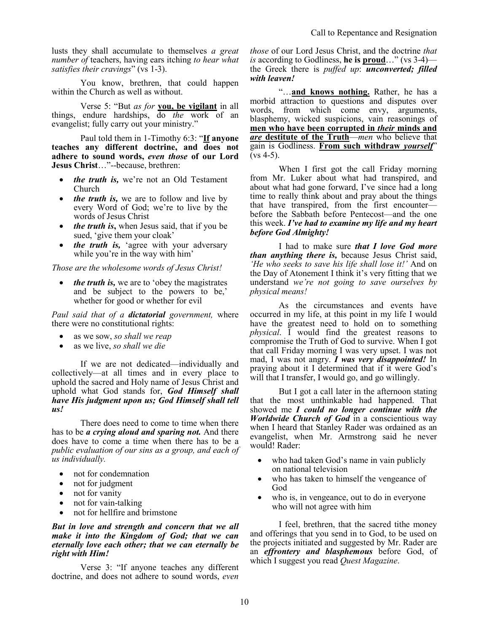lusts they shall accumulate to themselves *a great number of* teachers, having ears itching *to hear what satisfies their cravings*" (vs 1-3).

You know, brethren, that could happen within the Church as well as without.

Verse 5: "But *as for* **you, be vigilant** in all things, endure hardships, do *the* work of an evangelist; fully carry out your ministry."

Paul told them in 1-Timothy 6:3: "**If anyone teaches any different doctrine, and does not adhere to sound words,** *even those* **of our Lord Jesus Christ**…"--because, brethren:

- *the truth is, we're not an Old Testament* Church
- *the truth is,* we are to follow and live by every Word of God; we're to live by the words of Jesus Christ
- *the truth is***,** when Jesus said, that if you be sued, 'give them your cloak'
- *the truth is,* 'agree with your adversary while you're in the way with him'

*Those are the wholesome words of Jesus Christ!*

*the truth is, we are to 'obey the magistrates'* and be subject to the powers to be,' whether for good or whether for evil

*Paul said that of a dictatorial government,* where there were no constitutional rights:

- as we sow, *so shall we reap*
- as we live, *so shall we die*

If we are not dedicated—individually and collectively—at all times and in every place to uphold the sacred and Holy name of Jesus Christ and uphold what God stands for, *God Himself shall have His judgment upon us; God Himself shall tell us!*

There does need to come to time when there has to be *a crying aloud and sparing not.* And there does have to come a time when there has to be a *public evaluation of our sins as a group, and each of us individually.* 

- not for condemnation
- not for judgment
- not for vanity
- not for vain-talking
- not for hellfire and brimstone

#### *But in love and strength and concern that we all make it into the Kingdom of God; that we can eternally love each other; that we can eternally be right with Him!*

Verse 3: "If anyone teaches any different doctrine, and does not adhere to sound words, *even*  *those* of our Lord Jesus Christ, and the doctrine *that is* according to Godliness, **he is proud**…" (vs 3-4) the Greek there is *puffed up*: *unconverted; filled with leaven!* 

"…**and knows nothing.** Rather, he has a morbid attraction to questions and disputes over words, from which come envy, arguments, blasphemy, wicked suspicions, vain reasonings of **men who have been corrupted in** *their* **minds and**  *are* **destitute of the Truth**—*men* who believe that gain is Godliness. **From such withdraw** *yourself*"  $(vs 4-5)$ .

When I first got the call Friday morning from Mr. Luker about what had transpired, and about what had gone forward, I've since had a long time to really think about and pray about the things that have transpired, from the first encounter before the Sabbath before Pentecost—and the one this week. *I've had to examine my life and my heart before God Almighty!* 

I had to make sure *that I love God more than anything there is,* because Jesus Christ said, *'He who seeks to save his life shall lose it!'* And on the Day of Atonement I think it's very fitting that we understand *we're not going to save ourselves by physical means!*

As the circumstances and events have occurred in my life, at this point in my life I would have the greatest need to hold on to something *physical*. I would find the greatest reasons to compromise the Truth of God to survive. When I got that call Friday morning I was very upset. I was not mad, I was not angry. *I was very disappointed!* In praying about it I determined that if it were God's will that I transfer, I would go, and go willingly.

But I got a call later in the afternoon stating that the most unthinkable had happened. That showed me *I could no longer continue with the Worldwide Church of God* in a conscientious way when I heard that Stanley Rader was ordained as an evangelist, when Mr. Armstrong said he never would! Rader:

- who had taken God's name in vain publicly on national television
- who has taken to himself the vengeance of God
- who is, in vengeance, out to do in everyone who will not agree with him

I feel, brethren, that the sacred tithe money and offerings that you send in to God, to be used on the projects initiated and suggested by Mr. Rader are an *effrontery and blasphemous* before God, of which I suggest you read *Quest Magazine*.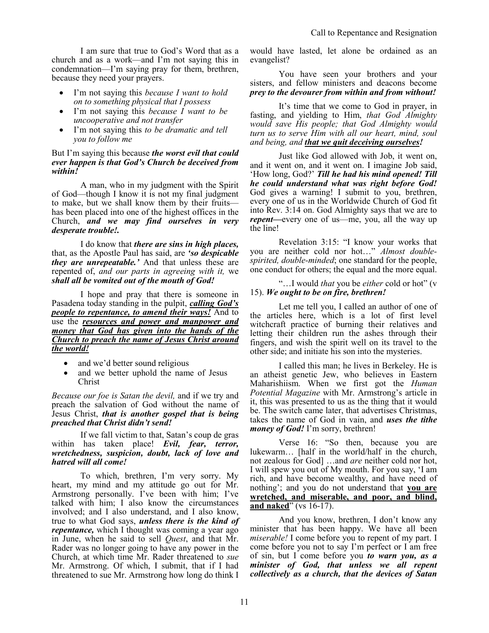I am sure that true to God's Word that as a church and as a work—and I'm not saying this in condemnation—I'm saying pray for them, brethren, because they need your prayers.

- I'm not saying this *because I want to hold on to something physical that I possess*
- I'm not saying this *because I want to be uncooperative and not transfer*
- I'm not saying this *to be dramatic and tell you to follow me*

#### But I'm saying this because *the worst evil that could ever happen is that God's Church be deceived from within!*

A man, who in my judgment with the Spirit of God—though I know it is not my final judgment to make, but we shall know them by their fruits has been placed into one of the highest offices in the Church, *and we may find ourselves in very desperate trouble!.* 

I do know that *there are sins in high places,* that, as the Apostle Paul has said, are *'so despicable they are unrepeatable.'* And that unless these are repented of, *and our parts in agreeing with it,* we *shall all be vomited out of the mouth of God!*

I hope and pray that there is someone in Pasadena today standing in the pulpit, *calling God's people to repentance, to amend their ways!* And to use the *resources and power and manpower and money that God has given into the hands of the Church to preach the name of Jesus Christ around the world!*

- and we'd better sound religious
- and we better uphold the name of Jesus Christ

*Because our foe is Satan the devil,* and if we try and preach the salvation of God without the name of Jesus Christ, *that is another gospel that is being preached that Christ didn't send!*

If we fall victim to that, Satan's coup de gras within has taken place! *Evil, fear, terror, wretchedness, suspicion, doubt, lack of love and hatred will all come!* 

To which, brethren, I'm very sorry. My heart, my mind and my attitude go out for Mr. Armstrong personally. I've been with him; I've talked with him; I also know the circumstances involved; and I also understand, and I also know, true to what God says, *unless there is the kind of repentance,* which I thought was coming a year ago in June, when he said to sell *Quest*, and that Mr. Rader was no longer going to have any power in the Church, at which time Mr. Rader threatened to *sue* Mr. Armstrong. Of which, I submit, that if I had threatened to sue Mr. Armstrong how long do think I

would have lasted, let alone be ordained as an evangelist?

You have seen your brothers and your sisters, and fellow ministers and deacons become *prey to the devourer from within and from without!*

It's time that we come to God in prayer, in fasting, and yielding to Him, *that God Almighty would save His people; that God Almighty would turn us to serve Him with all our heart, mind, soul and being, and that we quit deceiving ourselves!*

Just like God allowed with Job, it went on, and it went on, and it went on. I imagine Job said, 'How long, God?' *Till he had his mind opened! Till he could understand what was right before God!* God gives a warning! I submit to you, brethren, every one of us in the Worldwide Church of God fit into Rev. 3:14 on. God Almighty says that we are to *repent—*every one of us—me, you, all the way up the line!

Revelation 3:15: "I know your works that you are neither cold nor hot…" *Almost doublespirited, double-minded*; one standard for the people, one conduct for others; the equal and the more equal.

"…I would *that* you be *either* cold or hot" (v 15). *We ought to be on fire, brethren!*

Let me tell you, I called an author of one of the articles here, which is a lot of first level witchcraft practice of burning their relatives and letting their children run the ashes through their fingers, and wish the spirit well on its travel to the other side; and initiate his son into the mysteries.

I called this man; he lives in Berkeley. He is an atheist genetic Jew, who believes in Eastern Maharishiism. When we first got the *Human Potential Magazine* with Mr. Armstrong's article in it, this was presented to us as the thing that it would be. The switch came later, that advertises Christmas, takes the name of God in vain, and *uses the tithe money of God!* I'm sorry, brethren!

Verse 16: "So then, because you are lukewarm… [half in the world/half in the church, not zealous for God] …and *are* neither cold nor hot, I will spew you out of My mouth. For you say, 'I am rich, and have become wealthy, and have need of nothing'; and you do not understand that **you are wretched, and miserable, and poor, and blind, and naked**" (vs 16-17).

And you know, brethren, I don't know any minister that has been happy. We have all been *miserable!* I come before you to repent of my part. I come before you not to say I'm perfect or I am free of sin, but I come before you *to warn you, as a minister of God, that unless we all repent collectively as a church, that the devices of Satan*